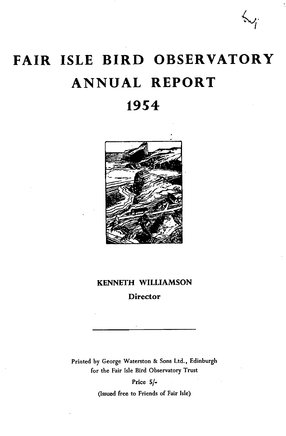# **FAIR ISLE BIRD OBSERVATORY ANNUAL REPORT**

# **1954**



# **KENNETH WILLIAMSON Director**

Printed by George Waterston & Sons Ltd., Edinburgh for the Fair Isle Bird Observatory Trust

> Price 5/. (Issued free to Friends of Fair Isle)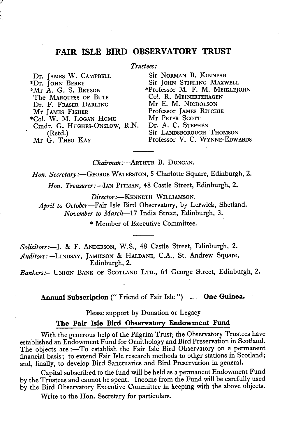# **FAIR ISLE BIRD OBSERVATORY TRUST**

#### *Trustees:*

Dr. JAMES W. CAMPBELL \*Dr. JOHN BERRY \*Mr A. G. S. BRYSON The MARQUESS OF BUTE Dr. F. FRASER DARLING Mr JAMES FISHER \*Col. W. M. LOGAN HOME Cmdr. G. HUGHES-ONSLOW, R.N. (Retd.) Mr G. THEO KAY

!

Sir NORMAN B. KINNEAR Sir JOHN STIRLING MAXWELL \*Professor M. F. M. MEIKLE]OHN Col. R. MEINERTZHAGEN Mr E. M. NICHOLSON Professor JAMES RITCHIE Mr PETER SCOTT Dr. A. C. STEPHEN Sir LANDSBOROUGH THoMsoN Professor V. C. WYNNE-EDWARDS

#### *Chairman:-ARTHuR* B. DUNCAN.

*Hon. Secretary:-GEORGE* WATERSTON, 5 Charlotte Square, Edinburgh, 2.

Hon. Treasurer:-IAN PITMAN, 48 Castle Street, Edinburgh, 2.

*Director* :-KENNETH WILLIAMSON.

*April to October-Fair* Isle Bird Observatory, by Lerwick, Shetland. *November to March-17* India Street, Edinburgh, 3.

\* Member of Executive Committee.

*Solicitors:-J.* & F. ANDERSON, W.S., 48 Castle Street, Edinburgh, 2. *Auditors:-LINDSAY,* JAMIESON & HALDANE, C.A., St. Andrew Square, Edinburgh, 2.

*Bankers:-UNION* BANK OF SCOTLAND LTD., 64 George Street, Edinburgh, 2.

**Annual Subscription** (" Friend of Fair Isle") ...... **One Guinea.** 

Please support by Donation or Legacy

#### **The Fair Isle Bird Observatory Endowment Fund**

With the generous help of the Pilgrim Trust; the Observatory Trustees have established an Endowment Fund for Ornithology and Bird Preservation in Scotland. The objects are :- To establish the Fair Isle Bird Observatory on a permanent financial basis; to extend Fair Isle research methods to other stations in Scotland; and, finally, to develop Bird Sanctuaries and Bird Preservation in general.

Capital subscribed to the fund will be held as a permanent Endowment Fund by the Trustees and cannot be spent. Income from the Fund will be carefully used by the Bird Observatory Executive Committee in keeping with the above objects.

Write to the Hon. Secretary for particulars.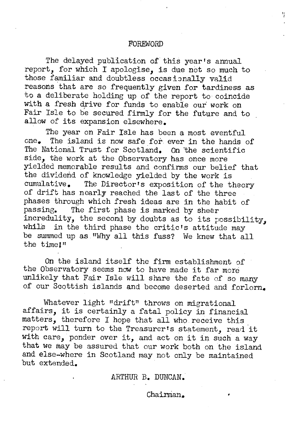#### FOREWORD

The delayed publication of this year's annual report, for which I apologise, is due not so much to those familiar and doubtless occasionally valid reasons that are so frequently given for tardiness as to a deliberate holding up of the report to coincide with a fresh drive for funds to enable our work on Fair Isle to be secured firmly for the future and to allow of its expansion elsewhere.

The year on Fair Isle has been a most eventful one. The island is now safe for ever in the hands of The National Trust for Scotland. On 'the scientific side, the work at the Observatory has once more yielded memorable results and confirms our belief that the dividend of knowledge yielded by the work is<br>cumulative. The Director's exposition of the t The Director's exposition of the theory of drift has nearly reached the last of the three phases through which fresh ideas are in the habit of passing. The first phase is marked by sheer The first phase is marked by sheer incredulity, the second by doubts as to its possibility. while in the third phase the critic's attitude may be summed up as "Why all this fuss? We knew that all the *timel"* 

On the island itself the firm establishment of the Observatory seems now to have made it far more unlikely that Fair Isle will share the fate of so many of our Scottish islands and become deserted and forlorn.

Whatever light "drift" throws on migrational affairs, it is certainly a fatal policy in financial matters, therefore I hope that all who receive this. report will turn to the Treasurer's statement, read it with care, ponder over it, and act on it in such a way that we may be assured that our work both on the island and else-where in Scotland may not only be maintained but extended.

ARTHUR B. DUNCAN.

Chairman.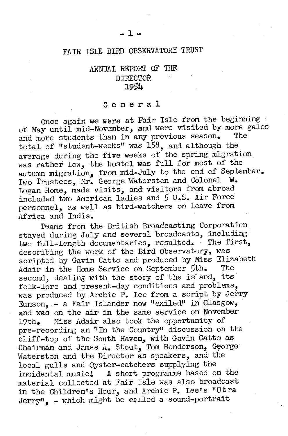# FAIR ISLE BIRD OBSERVATORY TRUST

## ANNUAL REPORT OF THE DIRECTOR 19S4

#### General

Once again we were at Fair Isle from the beginning of May until mid-November, and were visited by more gales and more students than in any previous season. total of "student-weeks" was 158, and although the *average* during the *five* weeks of the spring migration was rather low, the hostel was full for most of the autumn migration, from mid-July to the end of September. Two Trustees, Mr. George Waterston and Colonel W. Logan Home, made visits, and visitors from abroad included two American ladies and 5 U.S. Air Force personnel, as well as bird-watchers on *leave* from Africa and India.

Teams from the British Broadcasting Corporation stayed during July and several broadcasts, including two full-length documentaries, resulted. The first, describing the work of the Bird Observatory, was scripted by Gavin Catto and produced by Miss Elizabeth<br>Adair in the Home Service on Sentember 5th. The Adair in the Home Service on September 5th. second, dealing with the story of the island, its folk-lore and present-day conditions and problems, was produced by Archie P. Lee from a script by Jerry Eunson, - a Fair Islander now "exiled" in Glasgow, and was on the air in the same service on November 19th. Miss Adair also took the opportunity of pre-recording an "In the Country" discussion on the cliff-top of the South Haven," with *Gavin* Catto as Chairman and James A. Stout. Tom Henderson, George Waterston and the Director as speakers, and the local gulls and Oyster-catchers supplying the incidental music! A short programme based on the material collected at Fair Isle was also broadcast in the Children's Hour, and Archie P. Lee's "Utra  $Jerry^n$ , - which might be called a sound-portrait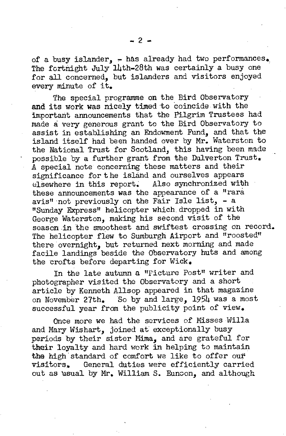of a busy islander, - has already had two performances. The fortnight July 14th-28th was certainly a busy one for all concerned, but islanders and visitors enjoyed every minute of it.

The special programme on the Bird Observatory and its work was nicely timed to coincide with the important announcements that the Pilgrim Trustees had made a very generous grant to the Bird Observatory to assist in establishing an Endowment Fund, and that the island itself had been handed over by Mr. Waterston to the National Trust for Scotland, this having been made possible by a further grant from the Dulverton Trust. A special note concerning these matters and their significance for the island and ourselves appears elsewhere in this report. Also synchronized with these announcements was the appearance of a "rara avis" not previously on the Fair Isle list, - a "Sunday Express" helicopter which dropped in with George Waterston, making his second visit of the season in the smoothest and swiftest crossing on record. The helicopter flew to Sumburgh Airport and "roosted" there overnight, but returned next morning and made facile landings beside the Observatory huts and among the crofts before departing for Wick.

In the late autumn a "picture Post" writer and photographer visited the Observatory and a short article by Kenneth Allsop appeared in that magazine<br>on November 27th. So by and large, 1954 was a most So by and large, 1954 was a most successful year from the publicity point of view.

Once more we had the services of Misses Willa and Mary Wishart, joined at' exceptionally busy periods by their sister Mima. and are grateful for their loyalty and hard work in helping to maintain the high standard of comfort we like to offer our visitors. General duties were efficiently carries General duties were efficiently carried out as usual by Mr. William S. Euncon, and although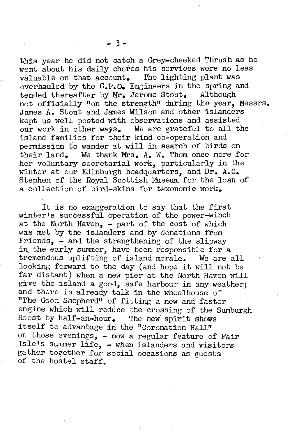this year he did not catch a Grey-cheeked Thrush as he went about his daily chores his services were no less valuable on that account. The lighting plant was overhauled by the G.P.O~ Engineers in the spring and tended thereafter by **Mr.** Jerome Stout. Although not officially "on the strength" during the year, Messrs. James A. Stout and James Wilson and other islanders kept us well posted with observations and assisted our work in other ways. We are grateful to all the island families for their kind co-operation ahd permission to wander at will in search of birds on their land. We thank Mrs. A. W. Thom once more for her voluntary secretarial work, particularly in the winter at our Edinburgh headquarters, and Dr. A.C. Stephen of the Royal'Scottish Museum for the loan of a collection of bird-skins for taxonomic work.

It is no exaggeration to say that the first winter's successful operation of the power-winch at the North Haven,  $-$  part of the cost of which was met by the islanders and by donations from  $Friends$ , - and the strengthening of the slipway in the early summer, have been responsible for a tremendous uplifting of island morale. We are all looking forward to the day (and hope it will not be far distant) when a new pier at the North Haven will give the island a good, safe harbour in any weather; and there is already talk in the wheelhouse of "The Good Shepherd" of fitting a new and faster engine which will reduce the crossing of the Sumburgh Roost by half-an-hour. The new spirit shows itself to advantage in the "Coronation Hall" on those evenings, - now a regular feature of Fair Isle's summer life, - when islanders and visitors gather together for social occasions as guests of the hostel staff.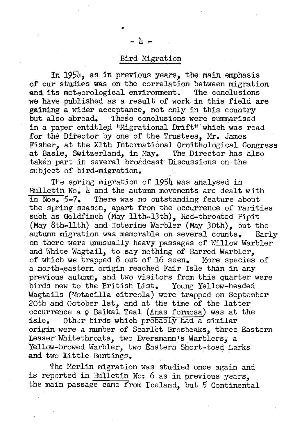#### Bird Migration

In 1954, as in previous years, the main emphasis o£ our studies was on the correlation between migration and its meteorological environment. The conclusions we have published as a result of work in this field are gaining a wider acceptance, not only in this country<br>but also abroad. These conclusions were summarised These conclusions were summarised in a paper entitled "Migrational Drift" which was read for the Director by one of the Trustees, Mr. James Fisher, at the Xlth International Ornithological Congress at Basle, Switzerland, in May. The Director has also taken part in several broadcast Discussions on the subject of bird-migration.

The spring migration of 1954 was analysed in Bulletin No.  $\mu$  and the autumn movements are dealt with in Nos. 5-7. There was no outstanding feature about the spring season, apart from the occurrence of rarities Such as Goldfinch (May 11th-13th), Red-throated Pipit (May 8th-11th) and Icterine Warbler (May 30th), but the autumn migration was memorable on several counts. Early on there were unusually heavy passages of Willow Warbler and White Wagtail, to say nothing of Barred Warbler. of which we trapped 8 out of 16 seen. More species of a north-eastern origin reached Fair Isle than in any previous autumn, and two visitors from this quarter were .<br>birds new to the British List. Young Yellow-headed Wagtails (Motacilla citreola) were trapped on September 20th and October 1st, and at the time of the latter occurrence a  $Q$  Baikal Teal (Anas formosa) was at the isle. Other birds, which probably had a similar origin were a number of Scarlet Grosbeaks, three Eastern Lesser Whitethroats, two Eversmann's Warblers, a Yellow-browed Warbler, two Eastern Short-toed Larks and two Little Buntings.

The Merlin migration was studied once again and is reported in Bulletin No: 6 as in previous years. the main passage came from Iceland, but 5 Continental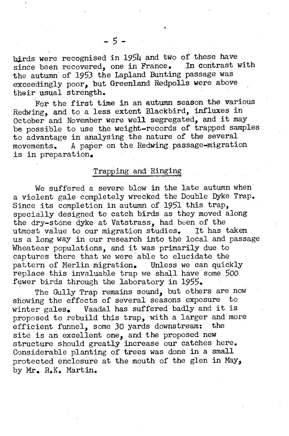birds were recognised in 1954 and two of these have since been recovered, one in France. In contrast with the autumn of 1953 the Lapland Bunting passage was exceedingly poor, but Greenland Redpolls were above their usual strength.

For the first time in an autumn season the various Redwing, and to a less extent Blackbird, influxes in October and November were well segregated, and it may be possible to use the weight-records of trapped samples to advantage in analysing the nature of the several movements. A paper on the Redwing passage-migration is in preparation.

# Trapping and Ringing

We suffered a severe blow in the late autumn when a violent gale completely wrecked the Double Dyke Trap. Since its completion in autumn of 1951 this trap, specially designed to catch birds as they moved along the dry-stone dyke at Vatstrass, had been of the utmost value to our migration studies. It has taken us a long way in our research into the local and passage Wheatear populations, and it was primarily due to captures there that we were 'able to elucidate the pattern of Merlin migration. Unless we can quickly replace this invaluable trap we shall have some 500 fewer birds through the laboratory in 1955.

The Gully Trap remains sound, but others are now showing the effects of several seasons exposure to winter gales. Vaadal has suffered badly and it is proposed to rebuild this trap, with a larger and more efficient funnel, some 30 yards downstream: the site is an excellent one, and the proposed new structure should greatly increase our catches here. Considerable planting of trees was done in a small protected enclosure at the mouth of the glen in May, by Mr. R.K. Martin.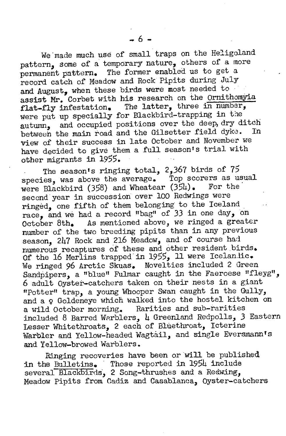We made much use of small traps on the Heligoland pattern, some of a temporary nature, others of a more permanent pattern. The former enabled us to get a record catch of Meadow and Rock Pipits during July and August, when these birds were most needed to assist Mr. Corbet with his research on the Ornithomyia flat-fly infestation. The latter, three in number, were put up specially for Blackbird-trapping in the autumn, and occupied positions over the deep, dry ditch between the main road and the Gilsetter field dyke. view of their success in late October and November we have decided to give them a full season's trial with other migrants in 1955.

The season's ringing total, 2,367 birds of 75 species, was above the average. Top scorers as usual were Blackbird (358) and Wheatear (354). For the second year in succession over 100 Redwings were ringed, one fifth of them belonging to the Iceland. race, and we had a record "bag" of 33 in one day, on october 8th. As mentioned above, we ringed a greater number of the two breeding pipits than in any previous season, 247 Rock and 216 Meadow, and of course had numerous recaptures of these and other resident birds. Of the 16 Merlins trapped in 1955, 11 were Icelan.lic. We ringed 96 Arctic Skuas. Novelties included 2 Green Sandpipers, a "blue" Fulmar caught in the Faeroese "fleyg". 6 adult Oyster-catchers taken on their nests in a giant "Potter" trap, a young Whooper Swan caught in the Gully, and a  $\varphi$  Goldeneye which walked into the hostel kitchen on a wild October morning. Rarities and sub-rarities included 8 Barred Warblers, 4 Greenland Redpolls, 3 Eastern Lesser Whitethroats, 2 each of Bluethroat, Icterine Warbler and Yellow-headed Wagtail, and single Eversmann's and Yellow-browed Warblers.

Ringing recoveries have been or will be published in the Bulletins. ' Those reported in 1954 include several Blackbirds, 2 Song-thrushes and a Redwing, Meadow Pipits from Gadiz and Casablanca, Oyster-catchers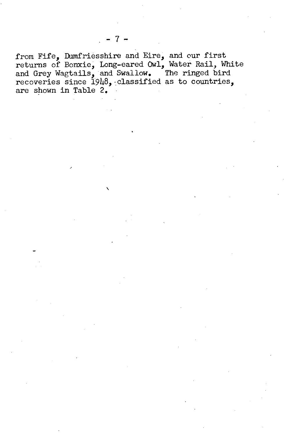from Fife, Dumfriesshire and Eire, and our first returns of Bonxie, Long-eared Owl, Water Rail, White and Grey Wagtails, and Swallow. The ringed bird recoveries since 1948,~classified as to countries, are shown in Table 2.

\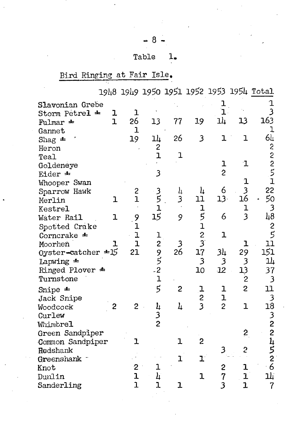# Table **1.**

# Bird Ringing at Fair Isle.

1948 1949 1950 1951 1952 1953 1954 Total

| Slavonian Grebe            |              |                |                            |                |                 |                |                                            | $\mathbf 1$                                           |
|----------------------------|--------------|----------------|----------------------------|----------------|-----------------|----------------|--------------------------------------------|-------------------------------------------------------|
| Storm Petrel =             | ı            | ${\bf 1}$      |                            |                |                 |                |                                            | 3                                                     |
| Fulmar ±                   | $\mathbf{I}$ | 26             | 13                         | 77             | 19              | ıг             | 13                                         | 163                                                   |
| Gannet                     |              | $\mathbf{1}$   |                            |                |                 |                |                                            | $\mathbf 1$                                           |
| Shag $\triangleq$          |              | 19             | 1 <sub>4</sub>             | 26             | 3               | ı              | $\mathbf 1$                                | 6422241                                               |
| Heron                      |              |                | $\frac{2}{1}$              |                |                 |                |                                            |                                                       |
| Teal                       |              |                |                            | $\mathbf 1$    |                 |                |                                            |                                                       |
| Goldeneye                  |              |                |                            |                |                 | $\mathbf{I}$   | $\mathbf{I}$                               |                                                       |
| Eider ±                    |              |                | 3                          |                |                 | $\overline{c}$ |                                            |                                                       |
| Whooper Swan               |              |                |                            |                |                 |                | $\mathbf 1$                                |                                                       |
| Sparrow Hawk               |              | $\frac{2}{1}$  | 3<br>5<br>1<br>5<br>1<br>5 | 4<br>3         | 4               | 6              | $\begin{array}{c}\n 3 \\ 16\n \end{array}$ | 22                                                    |
| Merlin                     | ı            |                |                            |                | 11              | $13-$          |                                            | 50<br>a,                                              |
| Kestrel                    |              |                |                            |                |                 |                | $\frac{1}{3}$                              | 3                                                     |
| Water Rail                 | 1            | 9              |                            | 9              | $1512$<br>$331$ | 6              |                                            | $\frac{1}{6}$                                         |
| Spotted Crake              |              | $\frac{1}{1}$  |                            |                |                 |                |                                            |                                                       |
| Corncrake $\pm$            |              |                |                            |                |                 | $\mathbf{I}$   |                                            |                                                       |
| Moorhen                    | 1.           |                |                            | $\frac{3}{26}$ |                 |                | ı                                          |                                                       |
| Oyster-catcher $\pm 15$    |              | 21             | 1295215                    |                |                 | 34             | 29                                         | $\begin{array}{c}\n 2 \\ 5 \\ 11 \\ 151\n\end{array}$ |
| Lapwing $\pm$              |              |                |                            |                | $\mathfrak{Z}$  | $\frac{3}{12}$ |                                            | 과                                                     |
| Ringed Plover $\triangleq$ |              |                |                            |                | 10              |                |                                            | 37                                                    |
| Turnstone                  |              |                |                            |                |                 |                | 3<br>13<br>2                               | $\mathfrak{Z}$                                        |
| Snipe =                    |              |                |                            | 2              | ı               | ı              | $\overline{2}$                             | 11                                                    |
| Jack Snipe                 |              |                |                            |                | $\frac{2}{3}$   | ľ              |                                            | $\mathfrak{Z}$                                        |
| Woodcock                   | 2            | $\overline{c}$ | 4                          | 4              |                 | $\overline{c}$ | $\mathbf{I}$                               | 18                                                    |
| Curlew                     |              |                | $\frac{1}{2}$              |                |                 |                |                                            | 3224526                                               |
| Whimbrel                   |              |                |                            |                |                 |                |                                            |                                                       |
| Green Sandpiper            |              |                |                            |                |                 |                | $\mathbf{2}$                               |                                                       |
| Common Sandpiper           |              | 1              |                            | ı              | $\overline{c}$  |                |                                            |                                                       |
| Redshank                   |              |                |                            |                |                 | 3              | 2                                          |                                                       |
| Greenshank -               |              |                |                            | ı              | ı               |                |                                            |                                                       |
| Knot                       |              | $\overline{c}$ | ı                          |                |                 |                | 1                                          |                                                       |
| Dunlin                     |              | 1              | $\mathbf{h}$               |                | 1               | 2<br>7<br>3    | $\mathbf{I}$                               | 14                                                    |
| Sanderling                 |              | $\mathbf{I}$   | 1                          | 1              |                 |                | $\overline{\mathbf{r}}$                    | $\overline{7}$                                        |
|                            |              |                |                            |                |                 |                |                                            |                                                       |

- 8 -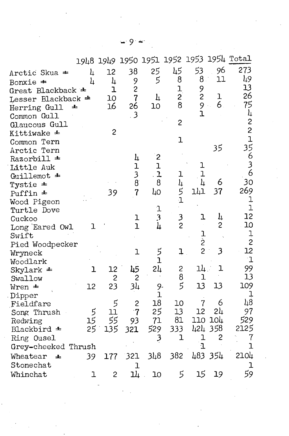|                                 | 1948         |                         | 1949 1950 1951 1952                        |                |                |                         |                | 1953 1954 Total     |
|---------------------------------|--------------|-------------------------|--------------------------------------------|----------------|----------------|-------------------------|----------------|---------------------|
| Arctic Skua =                   | 4            | 12                      | 38                                         | 25             | 45             | 53                      | 96             | 273                 |
|                                 | 4            | $\frac{1}{2}$           | 9                                          | 5              | 8              | 8 <sub>1</sub>          | 11             | 49                  |
| Bonxie $=$<br>Great Blackback = |              | ı                       | $\overline{\mathbf{c}}$                    |                | $\mathbf{1}$   | 9                       |                | 13                  |
| Lesser Blackback =              |              | 10                      | $\overline{7}$                             | 4              | $\overline{2}$ | $\overline{\mathbf{c}}$ | ı              | 26                  |
| Herring Gull                    | ᆂ            | 16                      | 26                                         | 10             | 8              |                         | 6.             | 75                  |
| Common Gull                     |              |                         | $\overline{\mathbf{3}}$                    |                |                | 9<br>1                  |                |                     |
| Glaucous Gull                   |              |                         |                                            |                | 2              |                         |                |                     |
| Kittiwake ±                     |              | $\overline{c}$          |                                            |                |                |                         |                | $\frac{1}{2}$<br>35 |
| Common Tern                     |              |                         |                                            |                | ı              |                         |                |                     |
| Arctic Tern                     |              |                         |                                            |                |                |                         | 35             |                     |
| Razorbill $\pm$                 |              |                         | 4                                          | 2              |                |                         |                |                     |
| Little Auk                      |              |                         |                                            | ı              |                | ı                       |                | 6<br>3<br>6         |
| Guillemot ±                     |              |                         |                                            | $\mathbf{L}$   | ı              | ı                       |                |                     |
| Tystie $\pm$                    |              |                         | $\begin{array}{c} 1 \\ 3 \\ 8 \end{array}$ | 8              |                | 4                       | 6              | 30                  |
| Puffin $\pm$                    |              | 39                      | $\overline{7}$                             | 40             | 4 ラユ           | 141                     | 37             | 269                 |
| Wood Pigeon                     |              |                         |                                            |                |                |                         |                | ļ                   |
| Turtle Dove                     |              |                         |                                            | 1              |                |                         |                | $\mathbf{I}$        |
| Cuckoo                          |              |                         | ı                                          | $\mathfrak{Z}$ | $\frac{3}{2}$  | ı                       | 4              | 12                  |
| Long Eared Owl                  | ı            |                         | $\mathbf{I}$                               | 4              |                |                         | $\overline{c}$ | 10                  |
| Swift                           |              |                         |                                            |                |                |                         |                | ļ                   |
| Pied Woodpecker                 |              |                         |                                            |                |                | 1<br>2<br>2             |                | $\overline{c}$      |
| Wryneck                         |              |                         | $\mathbf{I}$                               | $\frac{5}{1}$  | $\overline{1}$ |                         | $\mathfrak{Z}$ | 12                  |
| Woodlark                        |              |                         |                                            |                |                |                         |                | $\mathbf{L}$        |
| $Skylark =$                     | ı            | 12                      | 45                                         | 2կ             | $\frac{2}{8}$  | 14 F                    | ı              | 99                  |
| Swallow                         |              | $\mathbf{c}$            | $\overline{c}$                             |                |                | ı                       |                | 13                  |
| Wren ±                          | 12           | 23                      | 34                                         | 9-             | 5              | 13                      | 13             | 109                 |
| Dipper                          |              |                         |                                            | ı              |                |                         |                | ı                   |
| Fieldfare                       |              | 5                       | $\overline{\mathbf{c}}$                    | 18             | 10             | 7                       | 6              | $\frac{1}{4}8$      |
| Song Thrush                     | 5<br>15      | 11                      | $\overline{\mathbf{7}}$                    | 25             | 13             | 12                      | 2կ             | 97                  |
| Redwing                         |              | 55                      | 93                                         | 71             | 81             | 110                     | <b>104</b>     | 529                 |
| Blackbird ±                     | 25           | 135                     | 321                                        | 529            | 333            |                         | 424 358        | 2125                |
| Ring Ousel                      |              |                         |                                            | 3              | ı              | ı                       | 2              | $\overline{7}$      |
| Grey-cheeked Thrush             |              |                         |                                            |                |                | $\mathbf 1$             |                | $\mathbf{I}$        |
| Wheatear<br>ᆂ                   | 39           | 177                     | 321                                        | 348            | 382            |                         | 483 354        | 2104                |
| Stonechat                       |              |                         | 1                                          |                |                |                         |                | l                   |
| Whinchat                        | $\mathbf{1}$ | $\overline{\mathbf{c}}$ | 14                                         | 10             | 5              | 15                      | 19             | 59                  |
|                                 |              |                         |                                            |                |                |                         |                |                     |
|                                 |              |                         |                                            |                |                |                         |                |                     |
|                                 |              |                         |                                            |                |                |                         |                |                     |
|                                 |              |                         |                                            |                |                |                         |                |                     |
|                                 |              |                         |                                            |                |                |                         |                |                     |
|                                 |              |                         |                                            |                |                |                         |                |                     |

 $.9 \div$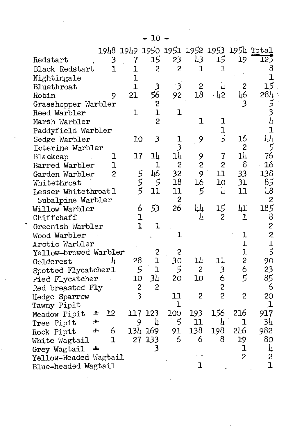| 1948 1949 1950 1951 1952 1953 1954 Total |                |                         |                |                         |                         |                         |                 |
|------------------------------------------|----------------|-------------------------|----------------|-------------------------|-------------------------|-------------------------|-----------------|
| Redstart<br>3                            | 7              | 15                      | 23             | 43                      | 15                      | 19                      | 125             |
| $\mathbf 1$<br><b>Black Redstart</b>     | $\overline{1}$ | $\overline{c}$          | $\overline{c}$ | ı                       | $\mathbf 1$             |                         | 8               |
| Nightingale                              | ı              |                         |                |                         |                         |                         | T.              |
| Bluethroat                               | $\overline{1}$ | $\mathfrak{Z}$          | $\cdot$ 3      | $\mathbf{z}$            | 4                       | $\overline{c}$          | 15              |
| 9<br>Robin                               | 21             | 56                      | 92             | 18                      | ․ և2                    | 46                      | 28 <sub>4</sub> |
| Grasshopper Warbler                      |                | $\frac{2}{1}$           |                |                         |                         | $\overline{\mathbf{3}}$ |                 |
| Reed Warbler                             | $\mathbf{I}$   |                         | $\mathbf{1}$   |                         |                         |                         |                 |
| Marsh Warbler                            |                | $\overline{c}$          |                | ı                       | ı                       |                         |                 |
| Paddyfield Warbler                       |                |                         |                |                         | $\mathbf 1$             |                         | $\overline{1}$  |
| Sedge Warbler                            | 10             | $\overline{\mathbf{3}}$ | ı              | 9                       | $\overline{5}$          | 16                      | ĮЛ              |
| Icterine Warbler                         |                |                         | $\overline{3}$ |                         |                         | $\overline{c}$          | 5               |
| 1<br>Blackcap                            | 17             | 14                      | 14             | 9                       | 7                       | 14                      | 76              |
| Barred Warbler<br>ı                      |                | $\mathbf{I}$            | $\overline{c}$ | $\overline{\mathbf{c}}$ | $\overline{c}$          | 8                       | 16              |
| $\overline{c}$<br>Garden Warbler         | 555            | 46                      | 32             | 9                       | 11                      | 33                      | $-138$          |
| Whitethroat                              |                | $\mathfrak s$           | 18             | 16                      | 10                      | 31                      | 85              |
| Lesser Whitethroatl                      |                | 11                      | 11             | 5                       | 4                       | 11                      | 48              |
| Subalpine Warbler                        |                |                         | $\overline{c}$ |                         |                         |                         | $\overline{c}$  |
| Willow Warbler                           | 6              | 53                      | 26             | hļ†                     | 15                      | hг                      | 185             |
| Chiffchaff                               | ı              |                         |                | 4                       | 2                       | 1                       | 8               |
| Greenish Warbler                         | $\mathbf{I}$   | $\mathbf 1$             |                |                         |                         |                         | $\overline{c}$  |
| Wood Warbler                             |                |                         | ı              |                         |                         | ı                       | $\overline{c}$  |
| Arctic Warbler                           |                |                         |                |                         |                         | $\mathbf 1$             | $\frac{1}{5}$   |
| Yellow-browed Warbler                    |                | 2                       | $\mathbf{c}$   |                         |                         | $\overline{1}$          |                 |
| 4<br>Goldcrest                           | 28             | $\mathbf 1$             | 30             | $1+$                    | 11                      | $\overline{c}$          | 90              |
| Spotted Flycatcherl                      | 5              | $\mathbf{I}$            | 5              | $\mathbf{2}$            | З<br>6                  | 6                       | 23              |
| Pied Flycatcher                          | 10             | 3 <sub>4</sub>          | 20             | 10                      |                         | $\overline{5}$          | 85              |
| Red breasted Fly                         | $\overline{c}$ | $\overline{c}$          |                |                         | $\overline{\mathbf{c}}$ |                         | 6               |
| Hedge Sparrow                            | $\overline{3}$ |                         | 11             | $\overline{c}$          | $\overline{c}$          | $\overline{c}$          | 20              |
| Tawny Pipit                              |                |                         | $\mathbf 1$    |                         |                         |                         | $\mathbf 1$     |
| 12.<br>$\pm$<br>Meadow Pipit             | 117            | 123                     | 100            | 193                     | 156                     | 216                     | 917             |
| ᆂ<br>Tree Pipit                          | 9              | h                       | 5              | 11                      | 4                       | 1                       | 34              |
| 6<br>$\pm$<br>Rock Pipit                 |                | 134 169                 | 91             | 138                     | 198                     | 546                     | 982             |
| $\mathbf{I}$<br>White Wagtail            |                | 27 133                  | 6              | 6                       | 8                       | 19                      | 80              |
| ᆂ<br>Grey Wagtail                        |                | 3                       |                |                         |                         | ı                       | ł,              |
| Yellow-Headed Wagtail                    |                |                         |                |                         |                         | $\overline{c}$          | $\frac{2}{1}$   |
| Blue-headed Wagtail                      |                |                         |                | $\mathbf 1$             |                         |                         |                 |

 $-10 -$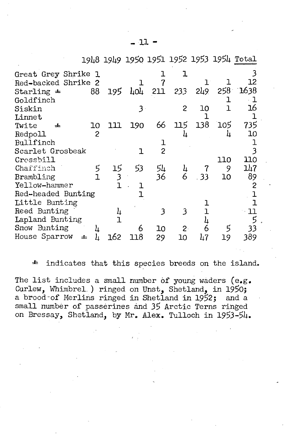#### **\_ 11 -**

|                          |      |           |                |                |      |       | 1948 1949 1950 1951 1952 1953 1954 Total |
|--------------------------|------|-----------|----------------|----------------|------|-------|------------------------------------------|
| Great Grey Shrike 1      |      |           |                | ı              |      |       |                                          |
| Red-backed Shrike 2      |      |           |                |                |      |       | 12                                       |
| 88<br>Starling $\pm$     | 195. | 404       | 211            | 233            | 249. |       | 258 1638                                 |
| Goldfinch                |      |           |                |                |      |       | -1                                       |
| Siskin                   |      | $3 \cdot$ |                | $\overline{2}$ | 10   |       | 16                                       |
| Linnet                   |      |           |                |                |      |       |                                          |
| 10<br>Twite<br>ᆂ         | 111. | 190       | 66             | 115            | 138  | ี 105 | 735                                      |
| 2<br>Redpoll             |      |           |                | ц              |      |       | 10                                       |
| Bullfinch                |      |           |                |                |      |       |                                          |
| Scarlet Grosbeak         |      | ٦         | $\overline{c}$ |                |      |       |                                          |
| Crossbill                |      |           |                |                |      | 110   | 110                                      |
| Chaffinch<br>5           | 15   | 53        | 54             | 4              |      | 9     | 247                                      |
| Brambling                |      |           | 36             |                | -33  | 10    | 89                                       |
| Yellow-hammer            |      |           |                |                |      |       |                                          |
| Red-headed Bunting       |      |           |                |                |      |       | $\mathbf{I}$                             |
| Little Bunting           |      |           |                |                |      |       |                                          |
| Reed Bunting             |      |           | 3              | 3              |      |       | 11                                       |
| Lapland Bunting          |      |           |                |                | ц    |       | 5                                        |
| Snow Bunting<br>h        |      |           | 10             | $2 -$          |      | 5     |                                          |
| House Sparrow<br>ᆂ<br>L. | 162  | 118       | 29             | 10             | 47   | 19    | 389                                      |

£ indicates that this species breeds on the island.

The list includes a small number of young waders (e.g. Curlew, Whimbrel.) ringed on Unst, Shetland, in 1950; a brood-of Merlins ringed in Shetland in 1952; and a small number of passerines and 35 Arctic Terns ringed on Bressay, Shetland, by Mr. Alex. Tulloch in 1953-54.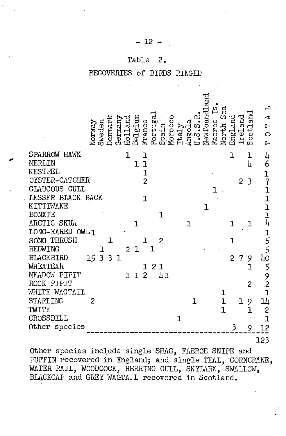#### Table **2.**

## *RECOVERIES* of BIRDS RINGED

ᅼ ď nedewc lorway Ē.  $\circ$ EH. SPARROW HAWK 1 1 1  $\mathbf{I}$  $_{\rm h}$ MERLIN 6 **11**   $\bf{h}$ KESTREL 1 1 OYSTER-CATCHER<br>GLAUCOUS GULL 2 2 3 7  $\dot{\mathbf{I}}$ 1 LESSER BLACK BACK 1 1 KITTIWAKE 1 1 BONX<sub>TE</sub> 1 1 4 ARCTIC SKUA 1 1 1 1 IJONG-EARED OWL 1 1 SONG THRUSH  $\mathbf{5}$ 1  $\frac{1}{1}$  2 1 REDWING 2 1 1 5 1 1533 1 BLACKBIRD 2 7 9 40 1 5 WHEATEAR 1 21 MEADOW PIPIT 1 1 2 9 ROCK PIPIT 2 2 WHITE WAGTAIL  $\begin{array}{ccc} 1 & 1 & 1 \ 1 & 1 & 9 & 1 \ 1 & 1 & 2 & 1 \end{array}$ 1 1<br>1 19 14<br>1 1 2 1 1 STARLING 2 1 TWITE 1 1 Other species \_\_\_\_\_\_\_\_\_\_\_\_\_\_\_\_\_\_\_\_\_\_\_\_\_\_\_\_\_\_\_\_\_ } \_\_\_ ~ \_\_ !~ **CROSSBILL** 123

Other species include single SHAG, FAEROE SNIPE and PUFFIN recovered in England; and single TEAL, CORNCRAKE, WATER RAIL, WOODCOCK, HERRING GULL, SKYLARK, SWALLOW, BLACKCAP and GREY WAGTAIL recovered in Scotland.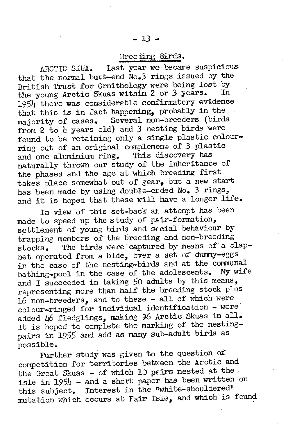## Breeling Birds.

ARCTIC SKUA. Last year we becane suspicious that the normal butt-end  $No = 3$  rings issued by the British Trust for Ornithology were being lost by the young Arctic Skuas within 2 or 3 years. 1954 there was considerable confirmatcry evidence that this is in fact happening, probably in the majority of cases. Several non-breeders (birds from 2 to 4 years old) and 3 nesting birds were found to be retaining only a single plastic colourring out of an original complement of 3 plastic and one aluminium ring. This discovery has naturally thrown our study of the inheritance of the phases and the age at which breeding first takes place somewhat out of gear, but a new start has been made by using double-erded No. 3 rings, and it is hoped that these will have a longer life.

In view of this set-back ar attempt has been made to speed up the study of pair-formation, settlement of young birds and sccial behaviour by trapping members of the breeding and non-breeding stocks. The birds were captured by means of a clapnet operated from a hide, bver a set of dummy-eggs in the case of the nesting-birds and at the communal<br>bething need in the case of the adolescents. My wife bathing-pool in the case of the adolescents. and I succeeded in taking 50 adults by this means, representing more than half the breeding stock plus 16 non~breeders, and to these - all of which were  $color\text{-}r_1$ inged for individual identification - were added 46 fledglings, making 96 Arctic Skuas in all. It is hoped to complete the marking of the nestingpairs in 1955 and add as many sub-adult birds as possible.

Further study was given to the question of competition for territories between the Arctic and the Great Skuas - of which 10 pairs nested at the isle in 1954 - and a short paper has been written on this subject. Interest in the "white-shouldered" mutation which occurs at Fair Isle, and which is found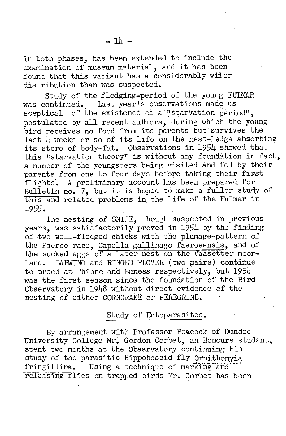in both phases, has been extended to include the examination of museum material, and it has been found that this variant has a considerably wider distribution than was suspected.

Study of the fledging-period of the young FUIMAR was continued. Last year's observations made us sceptical of the existence of a "starvation period", postulated by all recent authors, during which the young bird receives no food from its parents but'survives the last  $\mu$  weeks or so of its life on the nest-ledge absorbing its store of body-fat. Observations in 1954 showed that this "starvation theory" is without any foundation in fact, a number of the'youngsters being visited and fed by their parents from one to four days before taking their first flights. A preliminary account has been prepared for Bulletin no. 7, but it is hoped to make a fuller study of this and related problems in the life of the Fulmar in 1955.

The nesting of SMIPE, though suspected in previous years, was satisfactorily proved in 1954 by the finding of two well-fledged chicks with the plumage-pattern of the Faeroe race, Capella gallinago faeroeensis, and of the sucked eggs of a later nest on the Vaasetter moorland. LAPWING and RINGED PLOVER (two pairs) continue to breed at Thione and Buness respectively, but 1954 was the first season since the foundation of the Bird Observatory in 1948 without direct evidence of the nesting of either CORNCRAKE or PEREGRINE.

## Study of Ectoparasites.

By arrangement with Professor Peacock of Dundee University College Mr. Gordon Corbet, an Honours student. spent two months at the Observatory continuing hi3 study of the parasitic Hippoboscid fly Ornithomyia fringillina. Using a technique of marking and releasing flies on trapped birds Mr. Corbet has been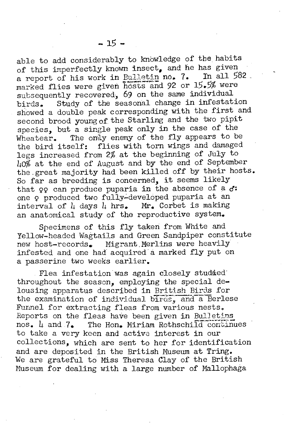able to add considerably to knowledge of the habits of this imperfectly known insect, and he has given a report of his work in Bulletin no. 7. In all 582.<br>marked flies were given hosts and 92 or 15.5% were subsequently recovered, 69 on the same individual birds.. Study of the seasonal change in infestation showed a double peak corresponding with the first and second brood young of the Starling and the two pipit species, but a single peak only in the case of the Wheatear. The only enemy of the fly appears to be the bird itself: flies with torn wings and damaged legs increased from 2% at the beginning of July to 40% at the end of August and by the end of September the ,great majority had been killed off by their hosts. So far as breeding is concerned, it seems likely that  $q\varrho$  can produce puparia in the absence of a  $d$ : one 9 produced two fully~devel6ped puparia at an interval of 4 days 4 hrs. **Mr.** Corbet is making an anatomical study of the reproductive system.

Specimens of this fly taken from White and Yellow-headed Wagtails and Green Sandpiper constitute new host-records. Migrant Merlins were heavily infested and one had acquired a marked fly put on a passerine two weeks earlier.

Flea infestation was again closely studied throughout the season, employing the special delousing apparatus described in British Birds for the examination of individual  $\widehat{\text{brigs}}_{r}$  and a Berlese Furmel for extracting fleas from various nests. Reports on the fleas have been given in Bulletins  $n \circ s$ . 4 and  $7$ . The Hon. Miriam Rothschild continues to take a very keen and active interest in our collections, which are sent to her for identification and are deposited in the British Museum at Tring. We are grateful to Miss Theresa Clay of the British Museum for dealing with a large number of Mallophaga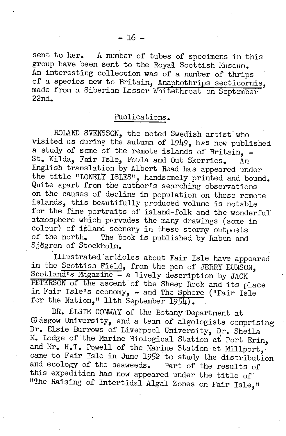sent to her. A number of tubes of specimens in this group have been sent to the Royal Scottish Museum. An interesting collection was of a number of thrips o£ a species new to Britain, Anaphothrips secticornis, made £rom a Siberian Lesser Whitethroat on September 22nd.

#### Publications.

ROLAND SVENSSON, the noted Swedish artist who visited us during the autumn o£ 1949, has now published a study of some of the remote islands of Britain, -St. Kilda, Fair Isle~ Foula and Out Skerries. An English translation by Albert Read has appeared under the title "LONELY ISLES", handsomely printed and bound. Quite apart from the author's searching observations on the causes o£ decline in population on these remote islands, this"beautifully produced volume is notable for the fine portraits of island-folk and the wonderful atmosphere which pervades the many drawings (some in colour) of island scenery in these stormy outposts o£ the north. The book is published by Raben and Sjögren of Stockholm.

Illustrated articles about Fair Isle have appeared in the Scottish Field, from the pen of JERRY EUNSON. Scotland's Magazine - a lively description by JACK PETERSON of the ascent of the Sheep Rock and its place in Fair Isle's economy, - and The Sphere ("Fair Isle for the Nation." 11th September 1954).

DR. ELSIE CONWAY of the Botany Department at Glasgow University, and a team of algologists comprising Dr. Elsie Burrows of Liverpool University, Dr. Sheila M. Lodge of the Marine Biological Station at Port Erin. and Mr. H.T. Powell of the Marine Station at Millport, came to Fair Isle in June 1952 to study the distribution and ecology of the seaweeds. Part of the results of this expedition has now appeared under the title of "The Raising of Intertidal Algal Zones on Fair Isle,"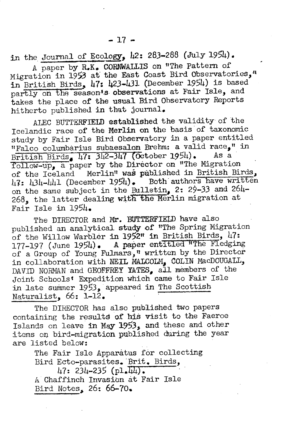in the Journal of Ecology, 42: 283-288 (July 1954).

A paper by R.K. CORNWALLIS on "The Pattern of Migration in 1953 at the East Coast Bird Observatories,<sup>n</sup> in British Birds, 47: 423-431 (December 1954) is based partly on the season's observations at Fair Isle, and takes the place of the usual Bird Observatory Reports hitherto published in that journal.

ALEC BUTTERFIELD established the validity of the Icelandic race of the Merlin on the basis'of taxonomic study by Fair Isle Bird Observatory in a paper entitled "Falco columbarius subaesalon Brehm: a valid race, " in  $\frac{1}{2}$  in  $\frac{1}{2}$ ,  $\frac{1}{2}$   $\frac{1}{2}$ ,  $\frac{1}{2}$   $\frac{1}{2}$   $\frac{1}{2}$   $\frac{1}{2}$   $\frac{1}{2}$   $\frac{1}{2}$   $\frac{1}{2}$   $\frac{1}{2}$   $\frac{1}{2}$   $\frac{1}{2}$   $\frac{1}{2}$   $\frac{1}{2}$  British Birds. 47: 342-347 (October 1954).  $\overline{\text{follow-up}}$ , a paper by the Director on "The Migration of the Iceland Merlin" was published in British Birds,  $47: 434$ -441 (December 1954). Both authors have written on the same subject in the Bulletin,  $2: 29-33$  and  $26\mu$ -268, the latter dealing witn the Merlin migration at Fair Isle in 1954.

The DIRECTOR and Mr. BUTTERFIELD have also published an analytical study of "The Spring Migration of the Willow Warbler in 1952" in British Birds,  $47$ : 177-197 (June 1954). A paper entitled "The Fledging of a Group of Young Fulmars, 'I written by the Director in collaboration with NEIL MALCOLM, COLIN MacDOUGALL, DAVID NORMAN and GEOFFREY YATES, all members of the Joint Schoolst Expedition which came to Fair Isle in late summer 1953, appeared in The Scottish Naturalist, 66: 1-12.

The DIRECTOR has also published two papers containing the results of his visit to the Faeroe Islands on leave in MaY 1953, and these and other items on bird-migration published during the year are listed below:

The Fair Isle Apparatus for collecting Bird Ecto-parasites. 'Brit. Birds,  $47: 234 - 235 (p1.44)$ . A Chaffinch Invasibn at Fair Isle Bird Notes, 26: 66-70.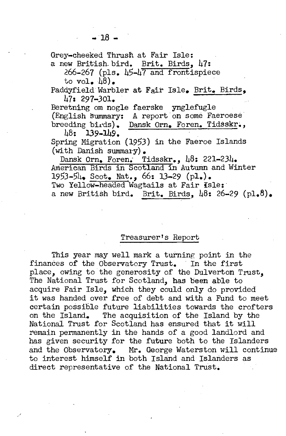Grey-cheeked Thrush at Fair Isle:

a new British. bird. Brit. Birds, 47:

266-267 (pIs. 45-47 and frontispiece to  $vol_a$   $\Delta\theta$ ).

Paddyfield Warbler at Fair Isle, Brit. Birds, 47: 297-301.

Beretning om nogle faerske ynglefugle (English summary: A report on some Faeroese breeding birds). Dansk Orn. Foren. Tidsskr.,

 $\mu$ 8: 139-1 $\mu$ 9. Spring Migration (1953) in the Faeroe Islands  $(\text{with Danish summary})$ .

Dansk Orn. Foren. Tidsskr., 48: 221-234. American Birds in Scotland in Autumn and Winter 1953-54. Scot. Nat., 66: 13-29 (pI.). Two Yellow-headed Wagtails at Fair Isle: a new British bird. Brit. Birds,  $\mu\delta$ : 26-29 (pl.8).

#### Treasurer's Report

This year may well mark a turning point in the finances of the Observatory Trust. In the first place, owing to the generosity of the Dulverton Trust. The National Trust for Scotland, has been able to acquire Fair Isle, which they could only do provided it was handed over free of debt and with a Fund to meet certain possible future liabilities towards the crofters<br>on the Island. The acquisition of the Island by the The acquisition of the Island by the National Trust for Scotland has ensured that it will remain permanently in the hands of a good landlord and has given security for the future both to the Islanders and the Observatory. Mr. George Waterston will continue to interest himself in both Island and Islanders as direct representative of the National Trust.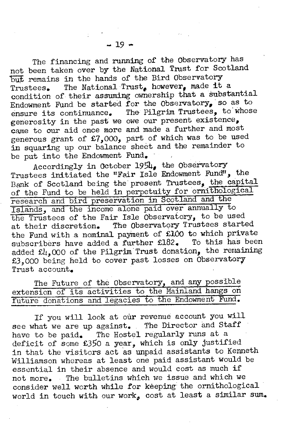The financing and running of the Observatory has not been taken over by the National Trust for Scotland but remains in the hands of the Bird Observatory Trustees. The National Trust, however, made it a condition of their assuming ownership that a substantial Endowment Fund be started for the Observatory, so as to ensure its continuance. The Pilgrim Trustees, to whose generosity in the past we owe our present existence. came to our aid once more and made a further and most generous grant of £7,000, part of which was to be used in squaring up our balance sheet and the remainder to be put into the Endowment Fund.

Accordingly in October 1954, the Observatory Trustees initiated the "Fair Isle Endowment Fund", the Bank of Scotland being the present Trustees, the capital of the Fund to be held in perpetuity for ornithological research and bird preservation in Scotland and the Islands, and the income alone paid over annually to the Trustees of the Fair Isle Observatory, to be used at their discretion. The Observatory Trustees started the Fund with a nominal payment of  $£100$  to which private<br>subscribers have added a further  $£182.$  To this has been subscribers have added a further £182. added  $f\mu$ ,000 of the Pilgrim Trust donation, the remaining £3,000 being held to cover past losses on Observatory Trust account.

| The Future of the Observatory, and any possible      |  |
|------------------------------------------------------|--|
| extension of its activities to the Mainland hangs on |  |
| future donations and legacies to the Endowment Fund. |  |

If you will look at our revenue account you will see what we are up against. The Director and Staff have to be paid. The Hostel regularly runs at a deficit of some £350 a year, which is only justified in that the visitors act as unpaid assistants to Kenneth Williamson whereas at least one paid assistant would be essential in their absence and would cost as much if not more. The bulletins which we issue and which we consider well worth while for keeping the ornithological world in touch with our work, cost at least a similar sum.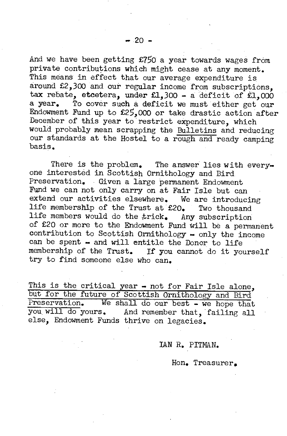And we have been getting £750 a year towards wages from private contributions which might cease at any moment. This means in effect that our average expenditure is around £2,300 and our regular income from subscriptions, tax rebate, etcetera, under  $f1,300 - a$  deficit of  $f1,000$ <br>a vear. To cover such a deficit we must either get our To cover such a deficit we must either get our Endowment Fund up to £25,000 or take drastic action after December of this year to'restrict expenditure, which would probably mean scrapping the Bulletins and reducing our standards at the Hostel to a rough and ready camping basis.

There is the problem. The answer lies with everyone interested in Scottish Ornithology and Bird Preservation. Given a large permanent Endowment Fund we can not only carry on at Fair Isle but can extend our activities elsewhere. We are introducing<br>life membership of the Trust at £20. Two thousand life membership of the Trust at  $£20$ . life members would do the  $trick_$  Any subscription of £20 or more to the Endowment Fund will be a permanent contribution to Scottish Ornithology - only the income can be spent  $-$  and will entitle the Donor to life membership of the Trust. If you cannot do it yourself try to find someone else who can.

This is the critical year - not for Fair Isle alone, but for the future of Scottish Ornithology and Bird Preservation. We shall do our best - we hope that you will do yours. And remember that, failing all else, Endowment Funds thrive on legacies.

#### !AN R. PITMAN.

#### Hon. Treasurer.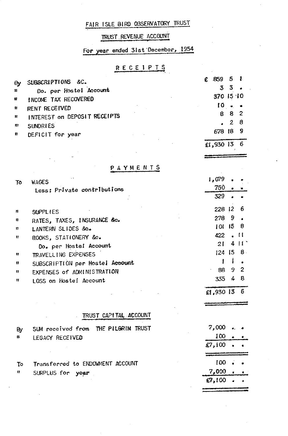# FAIR ISLE BIRD OBSERVATORY TRUST

# TRUST REVENUE ACCOUNT

For year ended 31st 'December. <sup>1954</sup>

#### RECEiPTS

| Βv       | SUBSCRIPTIONS &C.            | £           | 859 5 ₽  |                |           |  |
|----------|------------------------------|-------------|----------|----------------|-----------|--|
| -11      | Do. per Hostel Account       |             |          | 3 <sub>3</sub> |           |  |
| -11      | INCOME TAX RECOVERED         |             |          |                | 370 15 10 |  |
| ÷.       | RENT RECEIVED                |             | $10 - -$ |                |           |  |
| <b>H</b> | INTEREST on DEPOSIT RECEIPTS |             |          |                | 8 8 2     |  |
| m        | <b>SUNDRIES</b>              |             |          |                | .28       |  |
| n.       | DEFICIT for year             |             |          |                | 678 18 9  |  |
|          |                              | £1,930 13 6 |          |                |           |  |

PAYMENTS

| To           | <b>WAGES</b>                        | 1,079                |
|--------------|-------------------------------------|----------------------|
|              | Less: Private contributions         | 750                  |
|              |                                     | 329                  |
| n            | SUPPLIES                            | 6<br>228.12          |
| u            | RATES, TAXES, INSURANCE &c.         | 9<br>278             |
| 11           | LANTERN SLIDES &c.                  | 15.<br>8<br>TOL.     |
| Ħ            | BOOKS, STATIONERY &c.               | -11<br>422           |
|              | Do. per Hostel Account              | 11<br>4<br>21        |
| Ħ            | TRAVELLING EXPENSES                 | -8.<br>-15<br>124.   |
| 11           | SUBSCRIPTION per Hostel Account     |                      |
| $\mathbf{u}$ | EXPENSES of ADMINISTRATION          | 9 <sup>2</sup><br>88 |
| П            | LOSS on Hostel Account              | -8<br>335<br>4       |
|              |                                     | -6.<br>$$1,930$ 13   |
|              |                                     |                      |
|              | TRUST CAPITAL ACCOUNT               |                      |
| Βy           | SUM received from THE PILGRIM TRUST | 7,000                |
| 8            | LEGACY RECEIVED                     | 100                  |

£7.100 •

.<br>Anders and an only of the second contract of the second contract of the second contract of the second contract<br>An an operation of the second contract of the second contract of the second contract of the second contract o

100 . .. 7,000. £7,100 •

٠

 $\bullet$  $\bullet$ 

| the contract of the contract of the contract of |  |  |
|-------------------------------------------------|--|--|
|                                                 |  |  |
|                                                 |  |  |

To " Transferred to ENDOWMENT ACCOUNT SURPLUS for year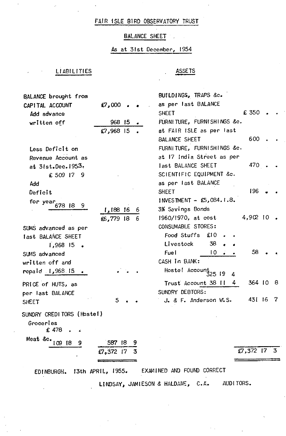#### FAIR 1SLE BIRD OBSERVATORY TRUST

#### BALANCE SHEET

As at 31st December, 1954

#### LI ABILITIES

J.

 $\sim$ 

 $\ddot{\phantom{1}}$ 

#### ASSETS

 $\epsilon_{\rm eff}$ 

 $\ddot{\phantom{a}}$ 

| BALANCE brought from      |                              | BUILDINGS, TRAPS &c.<br>as per last BALANCE |               |     |
|---------------------------|------------------------------|---------------------------------------------|---------------|-----|
| CAPITAL ACCOUNT           | $£7,000$ .                   | <b>SHEET</b>                                | € 350         |     |
| Add advance               |                              |                                             |               |     |
| written off               | 968 15                       | FURNITURE, FURNISHINGS &c.                  |               |     |
|                           | $£7,968$ 15 .                | at FAIR ISLE as per last                    | 600           |     |
|                           |                              | <b>BALANCE SHEET</b>                        |               |     |
| Less Deficit on           |                              | FURNITURE, FURNISHINGS &c.                  |               |     |
| Revenue Account as        |                              | at 17 India Street as per                   |               |     |
| at 31st.Dec.1953.         |                              | last BALANCE SHEET                          | 470.          |     |
| € 509 17 9                |                              | SCIENTIFIC EQUIPMENT &c.                    |               |     |
| Add                       |                              | as per last BALANCE                         |               |     |
| Deficit                   |                              | SHEET                                       | 196           |     |
| for $year_{678}$ 18 9     |                              | $1$ MVESTMENT $-$ £5,084.1.8.               |               |     |
|                           | $1,188$ 16 6                 | 3% Savings Bonds                            |               |     |
|                           | $$6,779$ 18<br>-6            | 1960/1970, at cost                          | 4,902 10      |     |
| SUMS advanced as per      |                              | CONSUMABLE STORES:                          |               |     |
| last BALANCE SHEET        |                              | Food Stuffs £10                             |               |     |
| $1,968$ 15.               |                              | Livestock<br>38                             |               |     |
| SUMS advanced             |                              | Fuel<br>IО                                  | 58            |     |
| written off and           |                              | CASH In BANK:                               |               |     |
| repaid $1,968.15$ .       |                              | Hostel Account<br>325 19                    |               |     |
|                           |                              | 4                                           |               |     |
| PRICE of HUTS, as         |                              | Trust Account 38 II<br>4                    | 364 10        | -8  |
| per last BALANCE          |                              | SUNDRY DEBTORS:                             |               |     |
| <b>SHEET</b>              | 5                            | J. & F. Anderson W.S.                       | 431 16        | - 7 |
| SUNDRY CREDITORS (Hostel) |                              |                                             |               |     |
| Groceries<br>€ 478.       |                              |                                             |               |     |
| Meat &c. 109 18<br>9      | 587 18<br>9                  |                                             |               |     |
|                           | $£7,372$ $ 7$ 3              |                                             | $£7,372$ 17 3 |     |
|                           |                              |                                             |               |     |
|                           | 13th APRIL, 1955.            | EXAMINED AND FOUND CORRECT                  |               |     |
| EDINBURGH.                |                              |                                             |               |     |
|                           | LINDSAY, JAMIESON & HALDANE, | C.A.                                        | AUDITORS.     |     |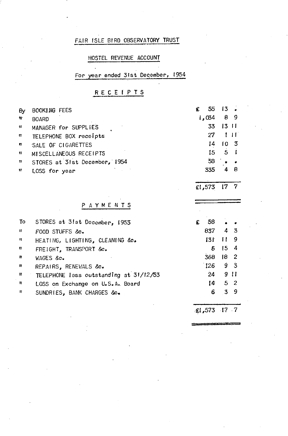### FAIR ISLE BIRD OBSERVATORY TRUST

#### HOSTEL REVENUE ACCOUNT

# For year ended 31st December, 1954

## RECEIPTS

| By<br>悔<br>11<br>n<br>n<br>n<br>11<br>11 | BOOKING FEES<br><b>BOARD</b><br>MANAGER for SUPPLIES<br>TELEPHONE BOX receipts<br>SALE OF CIGARETTES<br>MISCELLANEOUS RECEIPTS<br>STORES at 31st December, 1954<br>LOSS for year | £  | 55<br>34, ا<br>33<br>27<br>$\mathsf{I}4$<br>15<br>58<br>335<br>573, ا£ | 13<br>13 H<br>Ť.<br>5 <sup>1</sup><br>4<br>17 | 89<br>$\pm$<br>$10-5$<br>$\mathbf{I}$<br>8<br>7 |  |
|------------------------------------------|----------------------------------------------------------------------------------------------------------------------------------------------------------------------------------|----|------------------------------------------------------------------------|-----------------------------------------------|-------------------------------------------------|--|
|                                          | P A Y M E N T S                                                                                                                                                                  |    |                                                                        |                                               |                                                 |  |
| To                                       | STORES at 31st December, 1953                                                                                                                                                    | £. | 58                                                                     |                                               |                                                 |  |
| $\mathbf{u}$                             | FOOD STUFFS &c.                                                                                                                                                                  |    | 837                                                                    | 4                                             | -3                                              |  |
| 11                                       | HEATING, LIGHTING, CLEANING &c.                                                                                                                                                  |    | 131                                                                    | 11                                            | 9                                               |  |
| n                                        | FREIGHT, TRANSPORT &c.                                                                                                                                                           |    | Б                                                                      | $15 -$                                        | 4                                               |  |
| π                                        | WAGES &c.                                                                                                                                                                        |    | 368                                                                    | 18                                            | 2                                               |  |
| n                                        | REPAIRS, RENEWALS &c.                                                                                                                                                            |    | 126                                                                    |                                               | 9 <sub>3</sub>                                  |  |
| Ħ                                        | TELEPHONE less outstanding at 31/12/53                                                                                                                                           |    | 24                                                                     |                                               | 9 11                                            |  |
| 11                                       | LOSS on Exchange on U.S.A. Board                                                                                                                                                 |    | 14                                                                     |                                               | 5 <sup>2</sup>                                  |  |
|                                          |                                                                                                                                                                                  |    |                                                                        | 3                                             |                                                 |  |

*,£-11573* (7 7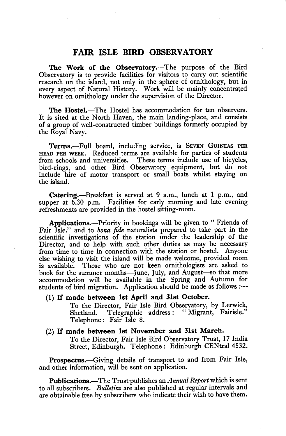### FAIR ISLE BIRD OBSERVATORY

The Work of the Observatory.—The purpose of the Bird Observatory is to provide facilities for visitors to carry out scientific research on the island, not only in the sphere of ornithology, but in every aspect of Natural History. Work will be mainly concentrated however on ornithology under the supervision of the Director.

The Hostel.—The Hostel has accommodation for ten observers. It is sited at the North Haven, the main landing-place, and consists of a group of well-constructed timber buildings formerly occupied by the Royal Navy.

Terms.-Full board, including service, is SEVEN GUINEAS PER HEAD PER WEEK. Reduced terms are available for parties of students from schools and universities. These terms include use of bicycles, bird-rings, and other Bird Observatory equipment, but do not include hire of motor transport or small boats whilst staying on the island.

Catering.—Breakfast is served at 9 a.m., lunch at 1 p.m., and supper at  $6.30$  p.m. Facilities for early morning and late evening refreshments are provided in the hostel sitting-room.

Applications.—Priority in bookings will be given to "Friends of Fair Isle." and to *bona fide* naturalists prepared to take part in the scientific investigations of the station under the leadership of the Director, and to help with such other duties as may be necessary from time to time in connection with the station or hostel. Anyone else wishing to visit the island will be made welcome, provided room is available. Those who are not keen ornithologists are asked to book for the summer months-June, July, and August-so that more accommodation will be available in the Spring and Autumn for students of bird migration. Application should be made as follows  $:$ ---

#### (1) If made between 1st April and 31st October.

To the Director, Fair Isle Bird Observatory, by Lerwick, Shetland. Telegraphic address: "Migrant, Fairisle." Shetland. Telegraphic address: Telephone; Fair Isle 8.

#### (2) If made between 1st November and 31st March. To the Director, Fair Isle Bird Observatory Trust, 17 India Street, Edinburgh. Telephone; Edinburgh CENtral 4532.

Prospectus.-Giving details of transport to and from Fair Isle, and other information, will be sent on application.

Publications.-The Trust publishes an *Annual Report* which is sent to all subscribers. *Bulletins* are also published at regular intervals and are obtainable free by subscribers who indicate their wish to have them.